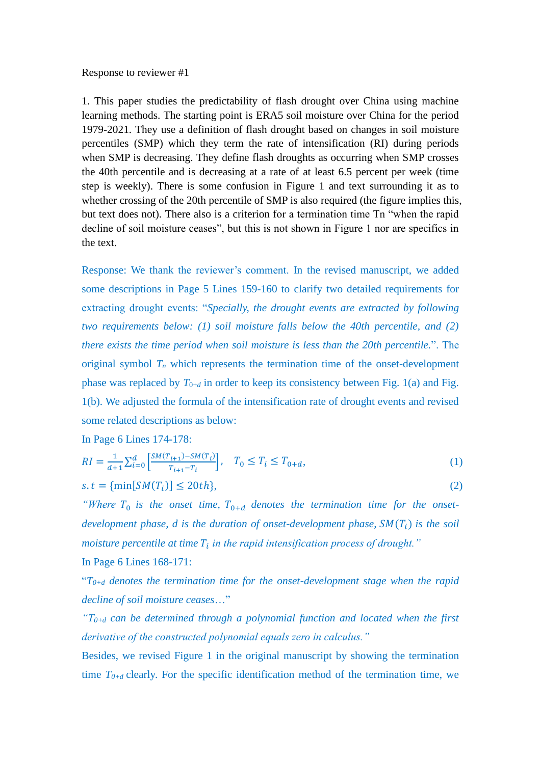#### Response to reviewer #1

1. This paper studies the predictability of flash drought over China using machine learning methods. The starting point is ERA5 soil moisture over China for the period 1979-2021. They use a definition of flash drought based on changes in soil moisture percentiles (SMP) which they term the rate of intensification (RI) during periods when SMP is decreasing. They define flash droughts as occurring when SMP crosses the 40th percentile and is decreasing at a rate of at least 6.5 percent per week (time step is weekly). There is some confusion in Figure 1 and text surrounding it as to whether crossing of the 20th percentile of SMP is also required (the figure implies this, but text does not). There also is a criterion for a termination time Tn "when the rapid decline of soil moisture ceases", but this is not shown in Figure 1 nor are specifics in the text.

Response: We thank the reviewer's comment. In the revised manuscript, we added some descriptions in Page 5 Lines 159-160 to clarify two detailed requirements for extracting drought events: "*Specially, the drought events are extracted by following two requirements below: (1) soil moisture falls below the 40th percentile, and (2) there exists the time period when soil moisture is less than the 20th percentile.*". The original symbol  $T<sub>n</sub>$  which represents the termination time of the onset-development phase was replaced by  $T_{0+d}$  in order to keep its consistency between Fig. 1(a) and Fig. 1(b). We adjusted the formula of the intensification rate of drought events and revised some related descriptions as below:

In Page 6 Lines 174-178:

$$
RI = \frac{1}{d+1} \sum_{i=0}^{d} \left[ \frac{SM(T_{i+1}) - SM(T_i)}{T_{i+1} - T_i} \right], \quad T_0 \le T_i \le T_{0+d}, \tag{1}
$$

$$
s. t = \{ \min[SM(T_i)] \le 20th \},\tag{2}
$$

"Where  $T_0$  is the onset time,  $T_{0+d}$  denotes the termination time for the onset*development phase, d is the duration of onset-development phase,*  $SM(T_i)$  *is the soil moisture percentile at time in the rapid intensification process of drought."*

# In Page 6 Lines 168-171:

 $T_{0+d}$  *denotes the termination time for the onset-development stage when the rapid decline of soil moisture ceases*…"

 $T_{0+d}$  *can be determined through a polynomial function and located when the first derivative of the constructed polynomial equals zero in calculus."*

Besides, we revised Figure 1 in the original manuscript by showing the termination time  $T_{0+d}$  clearly. For the specific identification method of the termination time, we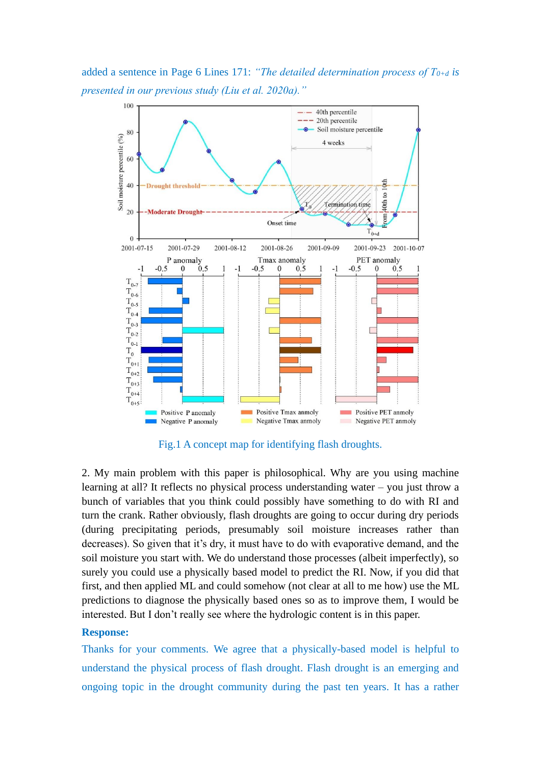added a sentence in Page 6 Lines 171: *"The detailed determination process of T0+d is presented in our previous study (Liu et al. 2020a)."*



Fig.1 A concept map for identifying flash droughts.

2. My main problem with this paper is philosophical. Why are you using machine learning at all? It reflects no physical process understanding water – you just throw a bunch of variables that you think could possibly have something to do with RI and turn the crank. Rather obviously, flash droughts are going to occur during dry periods (during precipitating periods, presumably soil moisture increases rather than decreases). So given that it's dry, it must have to do with evaporative demand, and the soil moisture you start with. We do understand those processes (albeit imperfectly), so surely you could use a physically based model to predict the RI. Now, if you did that first, and then applied ML and could somehow (not clear at all to me how) use the ML predictions to diagnose the physically based ones so as to improve them, I would be interested. But I don't really see where the hydrologic content is in this paper.

## **Response:**

Thanks for your comments. We agree that a physically-based model is helpful to understand the physical process of flash drought. Flash drought is an emerging and ongoing topic in the drought community during the past ten years. It has a rather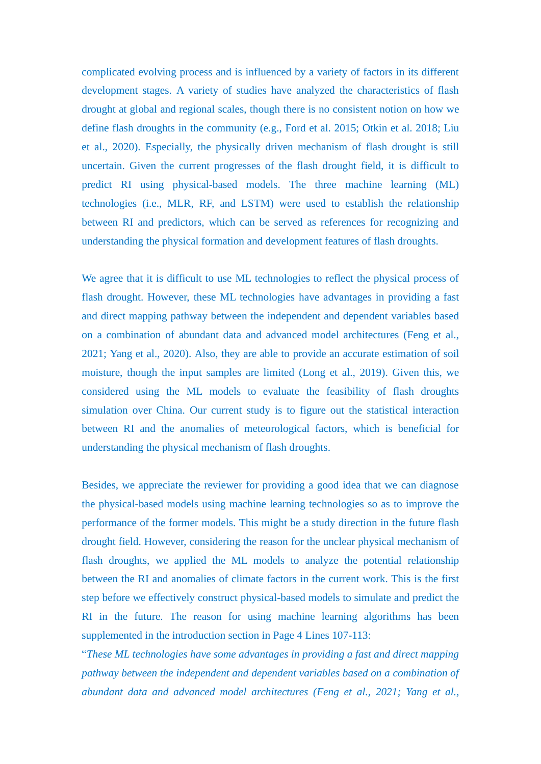complicated evolving process and is influenced by a variety of factors in its different development stages. A variety of studies have analyzed the characteristics of flash drought at global and regional scales, though there is no consistent notion on how we define flash droughts in the community (e.g., Ford et al. 2015; Otkin et al. 2018; Liu et al., 2020). Especially, the physically driven mechanism of flash drought is still uncertain. Given the current progresses of the flash drought field, it is difficult to predict RI using physical-based models. The three machine learning (ML) technologies (i.e., MLR, RF, and LSTM) were used to establish the relationship between RI and predictors, which can be served as references for recognizing and understanding the physical formation and development features of flash droughts.

We agree that it is difficult to use ML technologies to reflect the physical process of flash drought. However, these ML technologies have advantages in providing a fast and direct mapping pathway between the independent and dependent variables based on a combination of abundant data and advanced model architectures (Feng et al., 2021; Yang et al., 2020). Also, they are able to provide an accurate estimation of soil moisture, though the input samples are limited (Long et al., 2019). Given this, we considered using the ML models to evaluate the feasibility of flash droughts simulation over China. Our current study is to figure out the statistical interaction between RI and the anomalies of meteorological factors, which is beneficial for understanding the physical mechanism of flash droughts.

Besides, we appreciate the reviewer for providing a good idea that we can diagnose the physical-based models using machine learning technologies so as to improve the performance of the former models. This might be a study direction in the future flash drought field. However, considering the reason for the unclear physical mechanism of flash droughts, we applied the ML models to analyze the potential relationship between the RI and anomalies of climate factors in the current work. This is the first step before we effectively construct physical-based models to simulate and predict the RI in the future. The reason for using machine learning algorithms has been supplemented in the introduction section in Page 4 Lines 107-113:

"*These ML technologies have some advantages in providing a fast and direct mapping pathway between the independent and dependent variables based on a combination of abundant data and advanced model architectures (Feng et al., 2021; Yang et al.,*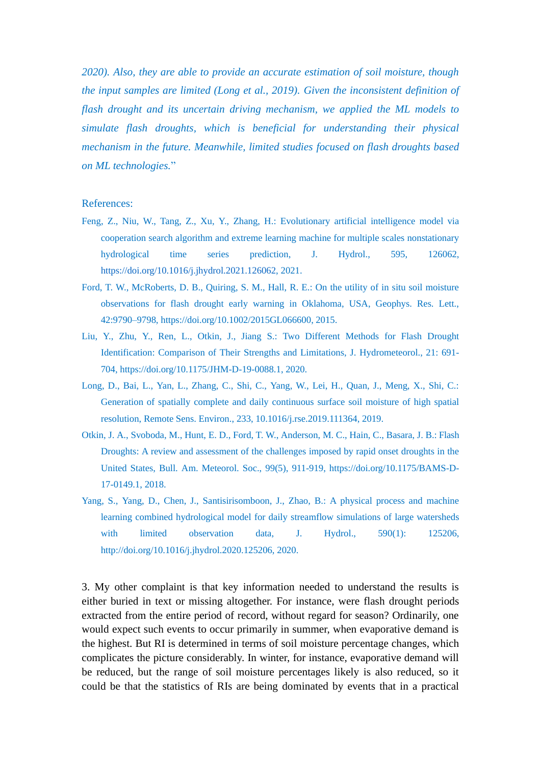*2020). Also, they are able to provide an accurate estimation of soil moisture, though the input samples are limited (Long et al., 2019). Given the inconsistent definition of flash drought and its uncertain driving mechanism, we applied the ML models to simulate flash droughts, which is beneficial for understanding their physical mechanism in the future. Meanwhile, limited studies focused on flash droughts based on ML technologies.*"

#### References:

- Feng, Z., Niu, W., Tang, Z., Xu, Y., Zhang, H.: Evolutionary artificial intelligence model via cooperation search algorithm and extreme learning machine for multiple scales nonstationary hydrological time series prediction, J. Hydrol., 595, 126062, [https://doi.org/10.1016/j.jhydrol.2021.126062,](https://doi.org/10.1016/j.jhydrol.2021.126062) 2021.
- Ford, T. W., McRoberts, D. B., Quiring, S. M., Hall, R. E.: On the utility of in situ soil moisture observations for flash drought early warning in Oklahoma, USA, Geophys. Res. Lett., 42:9790–9798, https://doi.org/10.1002/2015GL066600, 2015.
- Liu, Y., Zhu, Y., Ren, L., Otkin, J., Jiang S.: Two Different Methods for Flash Drought Identification: Comparison of Their Strengths and Limitations, J. Hydrometeorol., 21: 691- 704, https://doi.org/10.1175/JHM-D-19-0088.1, 2020.
- Long, D., Bai, L., Yan, L., Zhang, C., Shi, C., Yang, W., Lei, H., Quan, J., Meng, X., Shi, C.: Generation of spatially complete and daily continuous surface soil moisture of high spatial resolution, Remote Sens. Environ., 233, 10.1016/j.rse.2019.111364, 2019.
- Otkin, J. A., Svoboda, M., Hunt, E. D., Ford, T. W., Anderson, M. C., Hain, C., Basara, J. B.: Flash Droughts: A review and assessment of the challenges imposed by rapid onset droughts in the United States, Bull. Am. Meteorol. Soc., 99(5), 911-919, https://doi.org/10.1175/BAMS-D-17-0149.1, 2018.
- Yang, S., Yang, D., Chen, J., Santisirisomboon, J., Zhao, B.: A physical process and machine learning combined hydrological model for daily streamflow simulations of large watersheds with limited observation data, J. Hydrol., 590(1): 125206, http://doi.org/10.1016/j.jhydrol.2020.125206, 2020.

3. My other complaint is that key information needed to understand the results is either buried in text or missing altogether. For instance, were flash drought periods extracted from the entire period of record, without regard for season? Ordinarily, one would expect such events to occur primarily in summer, when evaporative demand is the highest. But RI is determined in terms of soil moisture percentage changes, which complicates the picture considerably. In winter, for instance, evaporative demand will be reduced, but the range of soil moisture percentages likely is also reduced, so it could be that the statistics of RIs are being dominated by events that in a practical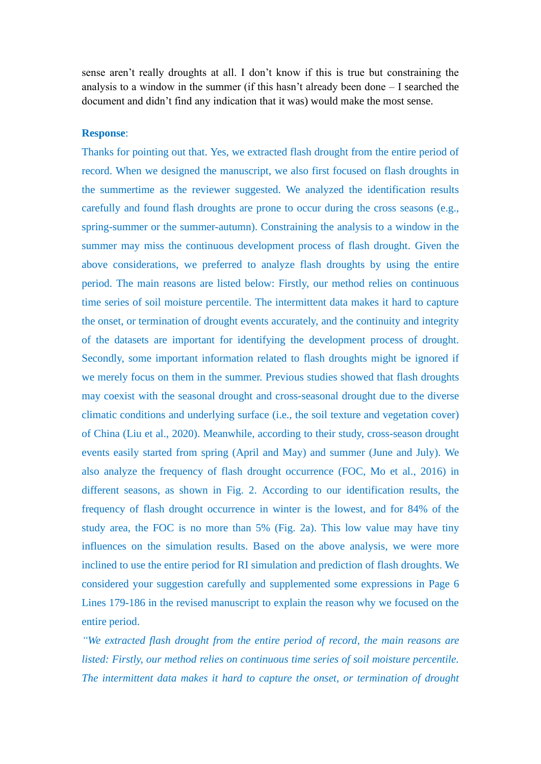sense aren't really droughts at all. I don't know if this is true but constraining the analysis to a window in the summer (if this hasn't already been done – I searched the document and didn't find any indication that it was) would make the most sense.

### **Response**:

Thanks for pointing out that. Yes, we extracted flash drought from the entire period of record. When we designed the manuscript, we also first focused on flash droughts in the summertime as the reviewer suggested. We analyzed the identification results carefully and found flash droughts are prone to occur during the cross seasons (e.g., spring-summer or the summer-autumn). Constraining the analysis to a window in the summer may miss the continuous development process of flash drought. Given the above considerations, we preferred to analyze flash droughts by using the entire period. The main reasons are listed below: Firstly, our method relies on continuous time series of soil moisture percentile. The intermittent data makes it hard to capture the onset, or termination of drought events accurately, and the continuity and integrity of the datasets are important for identifying the development process of drought. Secondly, some important information related to flash droughts might be ignored if we merely focus on them in the summer. Previous studies showed that flash droughts may coexist with the seasonal drought and cross-seasonal drought due to the diverse climatic conditions and underlying surface (i.e., the soil texture and vegetation cover) of China (Liu et al., 2020). Meanwhile, according to their study, cross-season drought events easily started from spring (April and May) and summer (June and July). We also analyze the frequency of flash drought occurrence (FOC, Mo et al., 2016) in different seasons, as shown in Fig. 2. According to our identification results, the frequency of flash drought occurrence in winter is the lowest, and for 84% of the study area, the FOC is no more than 5% (Fig. 2a). This low value may have tiny influences on the simulation results. Based on the above analysis, we were more inclined to use the entire period for RI simulation and prediction of flash droughts. We considered your suggestion carefully and supplemented some expressions in Page 6 Lines 179-186 in the revised manuscript to explain the reason why we focused on the entire period.

*"We extracted flash drought from the entire period of record, the main reasons are listed: Firstly, our method relies on continuous time series of soil moisture percentile. The intermittent data makes it hard to capture the onset, or termination of drought*